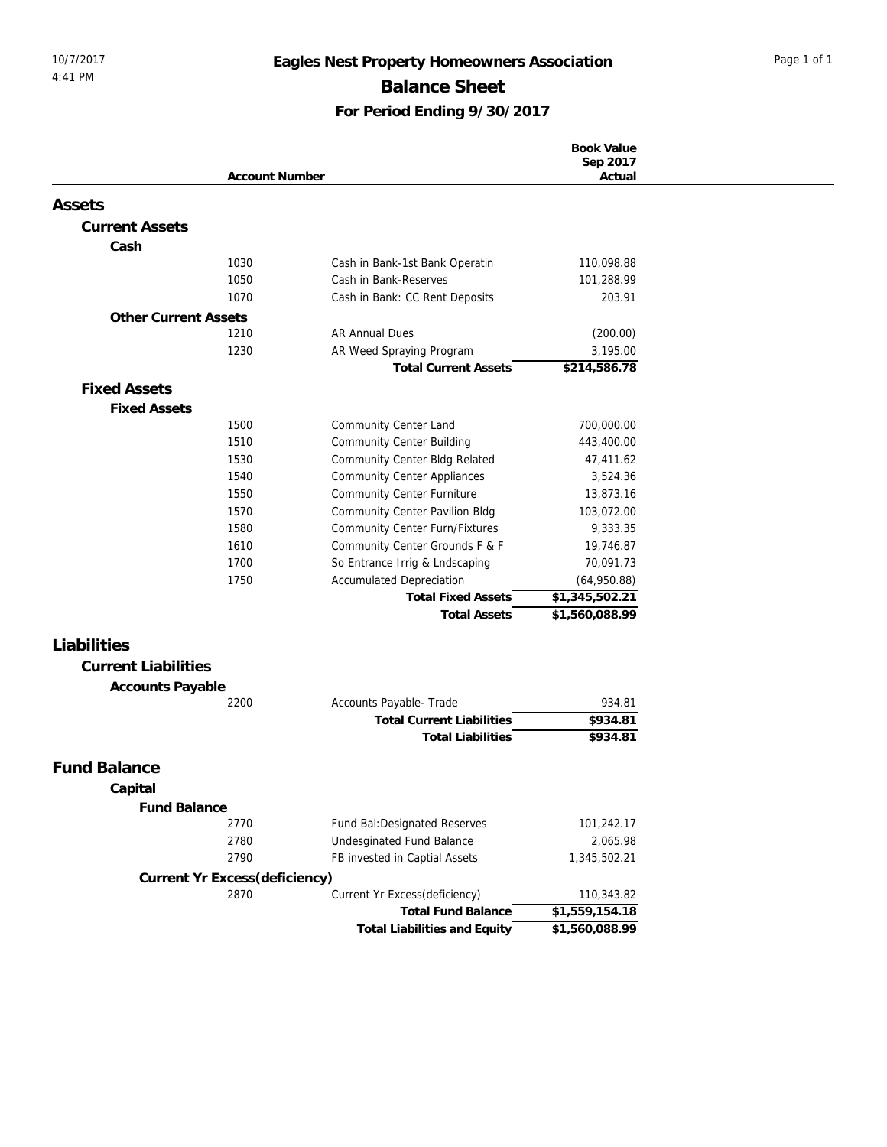## 10/7/2017 **Eagles Nest Property Homeowners Association** Page 1 of 1 Balance Sheet **For Period Ending 9/30/2017**

|                                               |                                  | Book Value     |
|-----------------------------------------------|----------------------------------|----------------|
|                                               |                                  | Sep 2017       |
| <b>Account Number</b>                         |                                  | Actual         |
| Assets                                        |                                  |                |
| <b>Current Assets</b>                         |                                  |                |
| Cash                                          |                                  |                |
| 1030<br>Cash in Bank-1st Bank Operatin        |                                  | 110,098.88     |
| Cash in Bank-Reserves<br>1050                 |                                  | 101,288.99     |
| Cash in Bank: CC Rent Deposits<br>1070        |                                  | 203.91         |
| <b>Other Current Assets</b>                   |                                  |                |
| 1210<br>AR Annual Dues                        |                                  | (200.00)       |
| 1230<br>AR Weed Spraying Program              |                                  | 3,195.00       |
|                                               | <b>Total Current Assets</b>      | \$214,586.78   |
| <b>Fixed Assets</b>                           |                                  |                |
| <b>Fixed Assets</b>                           |                                  |                |
| 1500<br>Community Center Land                 |                                  | 700,000.00     |
| 1510<br><b>Community Center Building</b>      |                                  | 443,400.00     |
| 1530<br>Community Center Bldg Related         |                                  | 47,411.62      |
| 1540<br><b>Community Center Appliances</b>    |                                  | 3,524.36       |
| 1550<br><b>Community Center Furniture</b>     |                                  | 13,873.16      |
| 1570<br><b>Community Center Pavilion Bldg</b> |                                  | 103,072.00     |
| 1580                                          | Community Center Furn/Fixtures   | 9,333.35       |
| 1610                                          | Community Center Grounds F & F   | 19,746.87      |
| So Entrance Irrig & Lndscaping<br>1700        |                                  | 70,091.73      |
| 1750<br><b>Accumulated Depreciation</b>       |                                  | (64,950.88)    |
|                                               | <b>Total Fixed Assets</b>        | \$1,345,502.21 |
|                                               | <b>Total Assets</b>              | \$1,560,088.99 |
| Liabilities                                   |                                  |                |
|                                               |                                  |                |
| <b>Current Liabilities</b>                    |                                  |                |
| Accounts Payable                              |                                  |                |
| 2200<br>Accounts Payable- Trade               |                                  | 934.81         |
|                                               | <b>Total Current Liabilities</b> | \$934.81       |
|                                               | <b>Total Liabilities</b>         | \$934.81       |
| <b>Fund Balance</b>                           |                                  |                |
| Capital                                       |                                  |                |
| <b>Fund Balance</b>                           |                                  |                |
| 2770<br>Fund Bal: Designated Reserves         |                                  | 101,242.17     |
| 2780<br>Undesginated Fund Balance             |                                  | 2,065.98       |
| 2790<br>FB invested in Captial Assets         |                                  | 1,345,502.21   |
| Current Yr Excess(deficiency)                 |                                  |                |
| 2870<br>Current Yr Excess(deficiency)         |                                  | 110,343.82     |
|                                               | <b>Total Fund Balance</b>        | \$1,559,154.18 |
|                                               | Total Liabilities and Equity     | \$1,560,088.99 |
|                                               |                                  |                |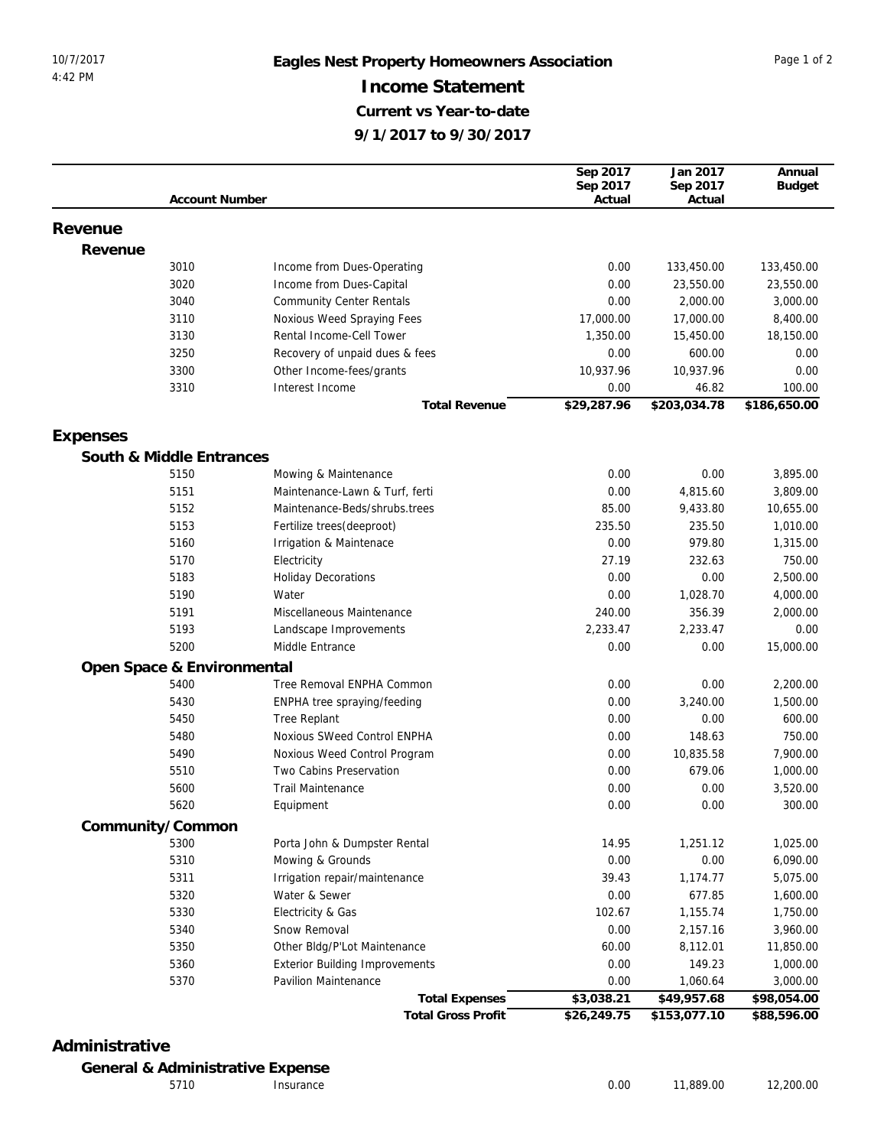## 10/7/2017 **Eagles Nest Property Homeowners Association** Page 1 of 2 **Income Statement Current vs Year-to-date 9/1/2017 to 9/30/2017**

|          |                            |                                                    | Sep 2017         | Jan 2017           | Annual            |
|----------|----------------------------|----------------------------------------------------|------------------|--------------------|-------------------|
|          |                            |                                                    | Sep 2017         | Sep 2017           | <b>Budget</b>     |
|          | <b>Account Number</b>      |                                                    | Actual           | Actual             |                   |
| Revenue  |                            |                                                    |                  |                    |                   |
| Revenue  |                            |                                                    |                  |                    |                   |
|          | 3010                       | Income from Dues-Operating                         | 0.00             | 133,450.00         | 133,450.00        |
|          | 3020                       | Income from Dues-Capital                           | 0.00             | 23,550.00          | 23,550.00         |
|          | 3040                       | <b>Community Center Rentals</b>                    | 0.00             | 2,000.00           | 3,000.00          |
|          | 3110                       | Noxious Weed Spraying Fees                         | 17,000.00        | 17,000.00          | 8,400.00          |
|          | 3130                       | Rental Income-Cell Tower                           | 1,350.00         | 15,450.00          | 18,150.00         |
|          | 3250                       | Recovery of unpaid dues & fees                     | 0.00             | 600.00             | 0.00              |
|          | 3300                       | Other Income-fees/grants                           | 10,937.96        | 10,937.96          | 0.00              |
|          | 3310                       | Interest Income                                    | 0.00             | 46.82              | 100.00            |
|          |                            | <b>Total Revenue</b>                               | \$29,287.96      | \$203,034.78       | \$186,650.00      |
|          |                            |                                                    |                  |                    |                   |
| Expenses |                            |                                                    |                  |                    |                   |
|          | South & Middle Entrances   |                                                    |                  |                    |                   |
|          | 5150                       | Mowing & Maintenance                               | 0.00             | 0.00               | 3,895.00          |
|          | 5151                       | Maintenance-Lawn & Turf, ferti                     | 0.00             | 4,815.60           | 3,809.00          |
|          | 5152                       | Maintenance-Beds/shrubs.trees                      | 85.00            | 9,433.80           | 10,655.00         |
|          | 5153                       | Fertilize trees(deeproot)                          | 235.50           | 235.50             | 1,010.00          |
|          | 5160                       | Irrigation & Maintenace                            | 0.00             | 979.80             | 1,315.00          |
|          | 5170                       | Electricity                                        | 27.19            | 232.63<br>0.00     | 750.00            |
|          | 5183                       | <b>Holiday Decorations</b>                         | 0.00             |                    | 2,500.00          |
|          | 5190                       | Water                                              | 0.00             | 1,028.70<br>356.39 | 4,000.00          |
|          | 5191                       | Miscellaneous Maintenance                          | 240.00           |                    | 2,000.00          |
|          | 5193<br>5200               | Landscape Improvements<br>Middle Entrance          | 2,233.47<br>0.00 | 2,233.47<br>0.00   | 0.00<br>15,000.00 |
|          |                            |                                                    |                  |                    |                   |
|          | Open Space & Environmental |                                                    |                  |                    |                   |
|          | 5400                       | Tree Removal ENPHA Common                          | 0.00             | 0.00               | 2,200.00          |
|          | 5430                       | ENPHA tree spraying/feeding                        | 0.00             | 3,240.00           | 1,500.00          |
|          | 5450                       | Tree Replant                                       | 0.00             | 0.00               | 600.00            |
|          | 5480                       | Noxious SWeed Control ENPHA                        | 0.00             | 148.63             | 750.00            |
|          | 5490<br>5510               | Noxious Weed Control Program                       | 0.00             | 10,835.58          | 7,900.00          |
|          |                            | Two Cabins Preservation                            | 0.00             | 679.06             | 1,000.00          |
|          | 5600<br>5620               | <b>Trail Maintenance</b>                           | 0.00             | 0.00               | 3,520.00          |
|          |                            | Equipment                                          | 0.00             | 0.00               | 300.00            |
|          | Community/Common           |                                                    |                  |                    |                   |
|          | 5300                       | Porta John & Dumpster Rental                       | 14.95            | 1,251.12           | 1,025.00          |
|          | 5310                       | Mowing & Grounds                                   | 0.00             | 0.00               | 6,090.00          |
|          | 5311                       | Irrigation repair/maintenance                      | 39.43            | 1,174.77           | 5,075.00          |
|          | 5320                       | Water & Sewer                                      | 0.00             | 677.85             | 1,600.00          |
|          | 5330                       | Electricity & Gas                                  | 102.67           | 1,155.74           | 1,750.00          |
|          | 5340                       | Snow Removal                                       | 0.00             | 2,157.16           | 3,960.00          |
|          | 5350                       | Other Bldg/P'Lot Maintenance                       | 60.00            | 8,112.01           | 11,850.00         |
|          | 5360                       | <b>Exterior Building Improvements</b>              | 0.00             | 149.23             | 1,000.00          |
|          | 5370                       | Pavilion Maintenance                               | 0.00             | 1,060.64           | 3,000.00          |
|          |                            | <b>Total Expenses</b><br><b>Total Gross Profit</b> | \$3,038.21       | \$49,957.68        | \$98,054.00       |
|          |                            |                                                    | \$26,249.75      | \$153,077.10       | \$88,596.00       |

## **Administrative**

**General & Administrative Expense**